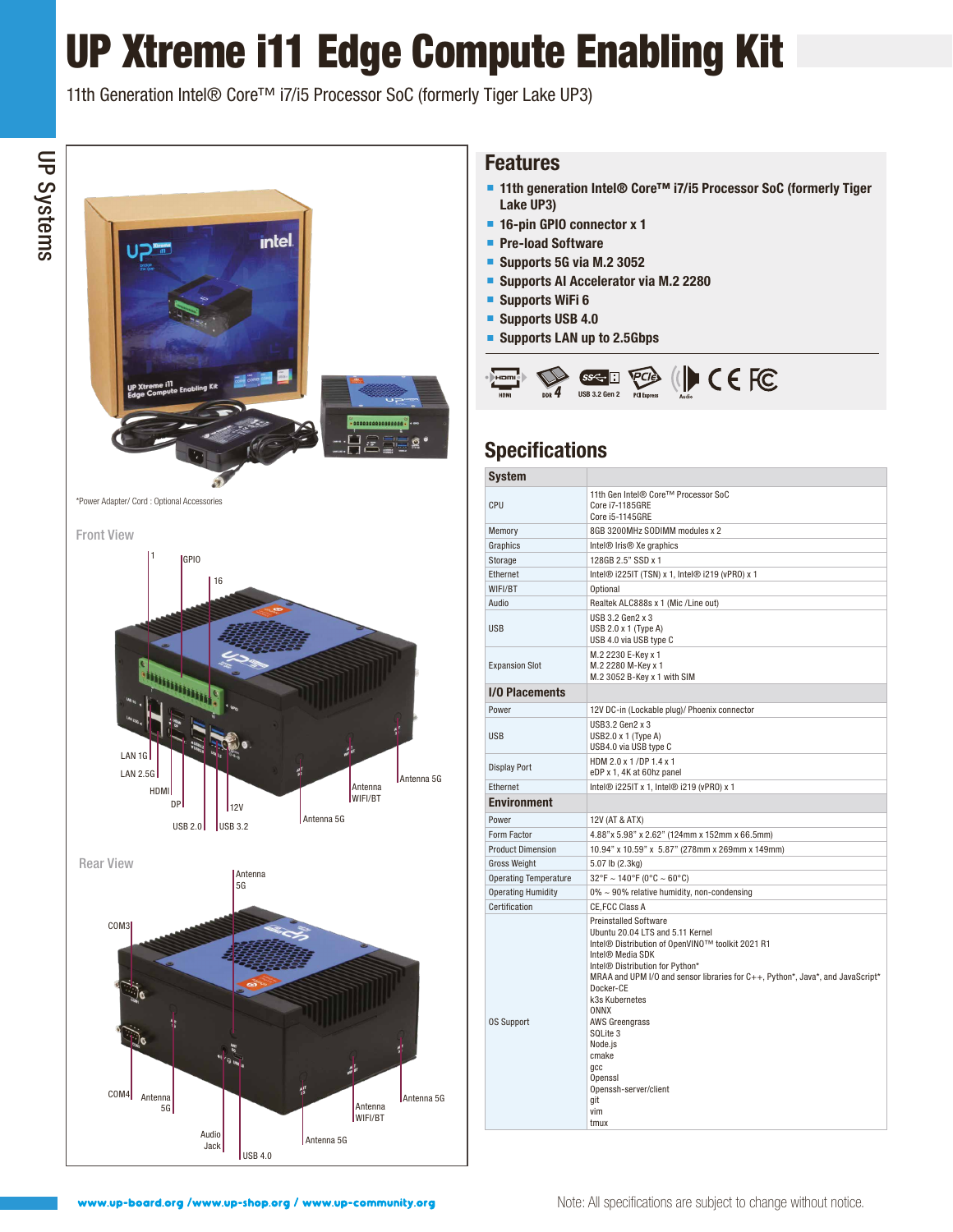## UP Xtreme i11 Edge Compute Enabling Kit

11th Generation Intel® Core™ i7/i5 Processor SoC (formerly Tiger Lake UP3)



#### **Features**

- 11th generation Intel<sup>®</sup> Core<sup>™</sup> i7/i5 Processor SoC (formerly Tiger **Lake UP3)**
- **16-pin GPIO connector x 1**
- **Pre-load Software**
- **Supports 5G via M.2 3052**
- **Supports AI Accelerator via M.2 2280**
- **Supports WiFi 6**
- **Supports USB 4.0**
- **Supports LAN up to 2.5Gbps**



## **Specifications**

| <b>System</b>                |                                                                                                                                                                                                                                                                                                                                                                                                                                                               |
|------------------------------|---------------------------------------------------------------------------------------------------------------------------------------------------------------------------------------------------------------------------------------------------------------------------------------------------------------------------------------------------------------------------------------------------------------------------------------------------------------|
| CPU                          | 11th Gen Intel® Core™ Processor SoC<br>Core i7-1185GRE<br>Core i5-1145GRE                                                                                                                                                                                                                                                                                                                                                                                     |
| Memory                       | 8GB 3200MHz SODIMM modules x 2                                                                                                                                                                                                                                                                                                                                                                                                                                |
| Graphics                     | Intel <sup>®</sup> Iris <sup>®</sup> Xe graphics                                                                                                                                                                                                                                                                                                                                                                                                              |
| Storage                      | 128GB 2.5" SSD x 1                                                                                                                                                                                                                                                                                                                                                                                                                                            |
| Ethernet                     | Intel® i225IT (TSN) x 1, Intel® i219 (vPR0) x 1                                                                                                                                                                                                                                                                                                                                                                                                               |
| WIFI/BT                      | Optional                                                                                                                                                                                                                                                                                                                                                                                                                                                      |
| Audio                        | Realtek ALC888s x 1 (Mic / Line out)                                                                                                                                                                                                                                                                                                                                                                                                                          |
| <b>USB</b>                   | USB 3.2 Gen2 x 3<br>USB $2.0 \times 1$ (Type A)<br>USB 4.0 via USB type C                                                                                                                                                                                                                                                                                                                                                                                     |
| <b>Expansion Slot</b>        | M.2 2230 E-Key x 1<br>M.2 2280 M-Key x 1<br>M.2 3052 B-Key x 1 with SIM                                                                                                                                                                                                                                                                                                                                                                                       |
| <b>I/O Placements</b>        |                                                                                                                                                                                                                                                                                                                                                                                                                                                               |
| Power                        | 12V DC-in (Lockable plug)/ Phoenix connector                                                                                                                                                                                                                                                                                                                                                                                                                  |
| <b>USB</b>                   | USB3.2 Gen2 x 3<br>USB2.0 x 1 (Type A)<br>USB4.0 via USB type C                                                                                                                                                                                                                                                                                                                                                                                               |
| <b>Display Port</b>          | HDM 2.0 x 1 /DP 1.4 x 1<br>eDP x 1, 4K at 60hz panel                                                                                                                                                                                                                                                                                                                                                                                                          |
| Ethernet                     | Intel® i225IT x 1, Intel® i219 (vPR0) x 1                                                                                                                                                                                                                                                                                                                                                                                                                     |
| <b>Environment</b>           |                                                                                                                                                                                                                                                                                                                                                                                                                                                               |
| Power                        | 12V (AT & ATX)                                                                                                                                                                                                                                                                                                                                                                                                                                                |
| Form Factor                  | 4.88" x 5.98" x 2.62" (124mm x 152mm x 66.5mm)                                                                                                                                                                                                                                                                                                                                                                                                                |
| <b>Product Dimension</b>     | 10.94" x 10.59" x 5.87" (278mm x 269mm x 149mm)                                                                                                                                                                                                                                                                                                                                                                                                               |
| <b>Gross Weight</b>          | 5.07 lb (2.3kg)                                                                                                                                                                                                                                                                                                                                                                                                                                               |
| <b>Operating Temperature</b> | $32^{\circ}$ F ~ 140°F (0°C ~ 60°C)                                                                                                                                                                                                                                                                                                                                                                                                                           |
| <b>Operating Humidity</b>    | 0% ~ 90% relative humidity, non-condensing                                                                                                                                                                                                                                                                                                                                                                                                                    |
| Certification                | CE, FCC Class A                                                                                                                                                                                                                                                                                                                                                                                                                                               |
| <b>OS Support</b>            | <b>Preinstalled Software</b><br>Ubuntu 20.04 LTS and 5.11 Kernel<br>Intel® Distribution of OpenVINO™ toolkit 2021 R1<br>Intel <sup>®</sup> Media SDK<br>Intel <sup>®</sup> Distribution for Python*<br>MRAA and UPM I/O and sensor libraries for C++, Python*, Java*, and JavaScript*<br>Docker-CE<br>k3s Kubernetes<br><b>ONNX</b><br><b>AWS Greengrass</b><br>SQLite 3<br>Node.js<br>cmake<br>qcc<br>Openssl<br>Openssh-server/client<br>git<br>vim<br>tmux |

USB 4.0

Audio Jack

Antenna 5G